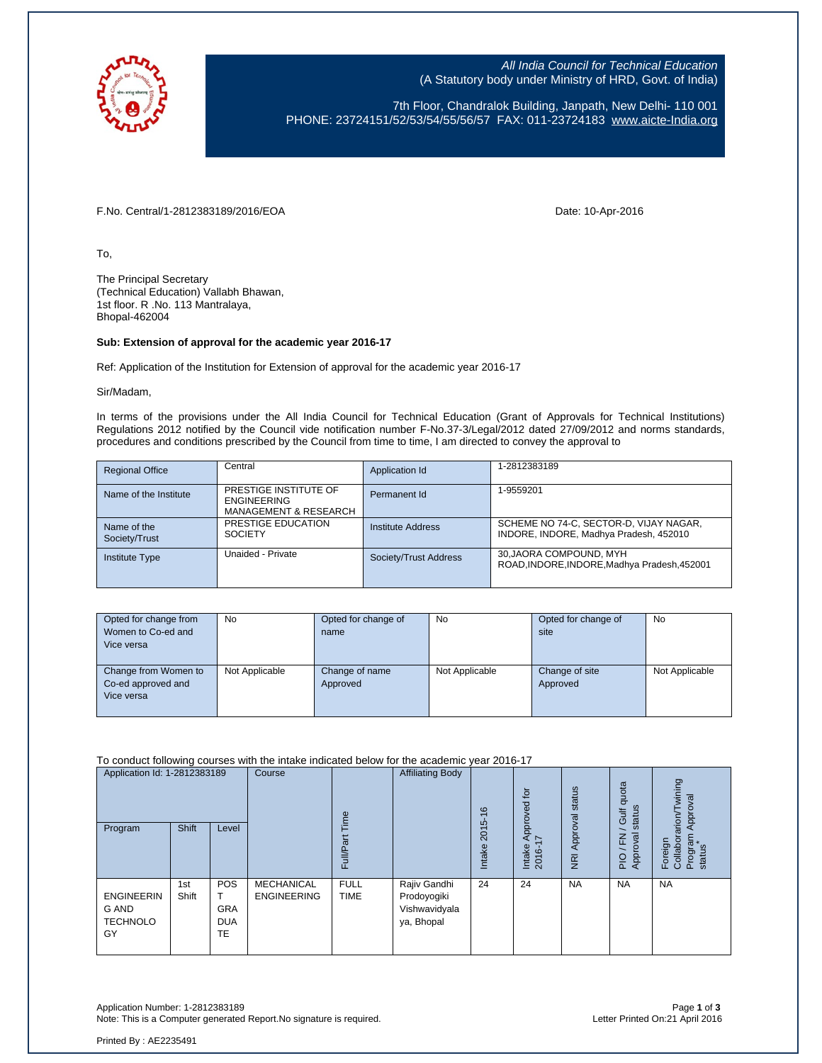

All India Council for Technical Education (A Statutory body under Ministry of HRD, Govt. of India)

7th Floor, Chandralok Building, Janpath, New Delhi- 110 001 PHONE: 23724151/52/53/54/55/56/57 FAX: 011-23724183 [www.aicte-India.org](http://www.aicte-india.org/)

F.No. Central/1-2812383189/2016/EOA Date: 10-Apr-2016

To,

The Principal Secretary (Technical Education) Vallabh Bhawan, 1st floor. R .No. 113 Mantralaya, Bhopal-462004

## **Sub: Extension of approval for the academic year 2016-17**

Ref: Application of the Institution for Extension of approval for the academic year 2016-17

Sir/Madam,

In terms of the provisions under the All India Council for Technical Education (Grant of Approvals for Technical Institutions) Regulations 2012 notified by the Council vide notification number F-No.37-3/Legal/2012 dated 27/09/2012 and norms standards, procedures and conditions prescribed by the Council from time to time, I am directed to convey the approval to

| <b>Regional Office</b>       | Central                                                                         | Application Id        | 1-2812383189                                                                     |
|------------------------------|---------------------------------------------------------------------------------|-----------------------|----------------------------------------------------------------------------------|
| Name of the Institute        | PRESTIGE INSTITUTE OF<br><b>ENGINEERING</b><br><b>MANAGEMENT &amp; RESEARCH</b> | Permanent Id          | 1-9559201                                                                        |
| Name of the<br>Society/Trust | PRESTIGE EDUCATION<br><b>SOCIETY</b>                                            | Institute Address     | SCHEME NO 74-C, SECTOR-D, VIJAY NAGAR,<br>INDORE, INDORE, Madhya Pradesh, 452010 |
| <b>Institute Type</b>        | Unaided - Private                                                               | Society/Trust Address | 30, JAORA COMPOUND, MYH<br>ROAD, INDORE, INDORE, Madhya Pradesh, 452001          |

| Opted for change from<br>Women to Co-ed and<br>Vice versa | <b>No</b>      | Opted for change of<br>name | <b>No</b>      | Opted for change of<br>site | <b>No</b>      |
|-----------------------------------------------------------|----------------|-----------------------------|----------------|-----------------------------|----------------|
| Change from Women to<br>Co-ed approved and<br>Vice versa  | Not Applicable | Change of name<br>Approved  | Not Applicable | Change of site<br>Approved  | Not Applicable |

To conduct following courses with the intake indicated below for the academic year 2016-17

| Application Id: 1-2812383189<br>Program             | <b>Shift</b> | Level                                 | Course                                  | euil.<br>ౚ<br>Full/P <sub>3</sub> | <b>Affiliating Body</b>                                    | $\frac{6}{5}$<br>2015<br>Intake | $\overline{5}$<br>Approved<br>$\overline{\phantom{0}}$<br>Intake<br>2016-1 | Approval status<br>$\overline{g}$ | quota<br>status<br><b>Jir</b><br>준<br>Approval<br>P | wining<br>Approval<br>rarion/<br>Program<br>Foreign<br>Collabor<br>status |
|-----------------------------------------------------|--------------|---------------------------------------|-----------------------------------------|-----------------------------------|------------------------------------------------------------|---------------------------------|----------------------------------------------------------------------------|-----------------------------------|-----------------------------------------------------|---------------------------------------------------------------------------|
| <b>ENGINEERIN</b><br>G AND<br><b>TECHNOLO</b><br>GY | 1st<br>Shift | POS<br><b>GRA</b><br><b>DUA</b><br>TE | <b>MECHANICAL</b><br><b>ENGINEERING</b> | <b>FULL</b><br><b>TIME</b>        | Rajiv Gandhi<br>Prodoyogiki<br>Vishwavidyala<br>ya, Bhopal | 24                              | 24                                                                         | <b>NA</b>                         | <b>NA</b>                                           | <b>NA</b>                                                                 |

Application Number: 1-2812383189 Page **1** of **3** Note: This is a Computer generated Report.No signature is required.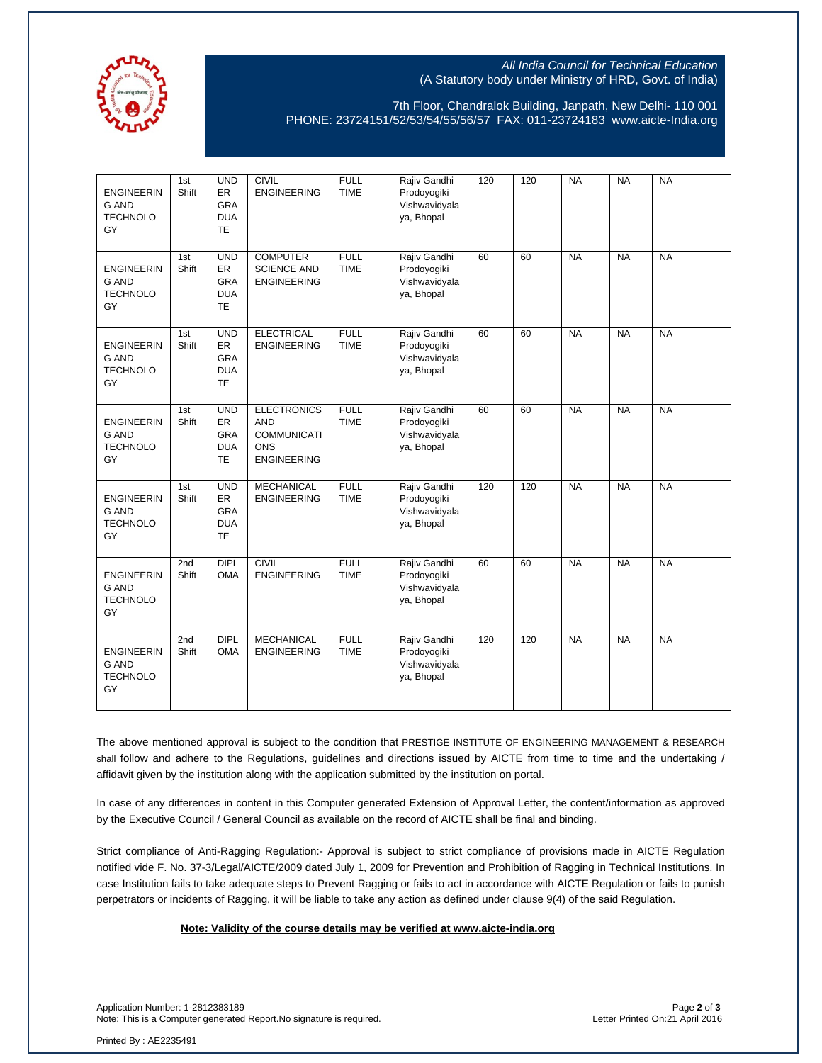

## All India Council for Technical Education (A Statutory body under Ministry of HRD, Govt. of India)

7th Floor, Chandralok Building, Janpath, New Delhi- 110 001 PHONE: 23724151/52/53/54/55/56/57 FAX: 011-23724183 [www.aicte-India.org](http://www.aicte-india.org/)

| <b>ENGINEERIN</b><br><b>G AND</b><br><b>TECHNOLO</b><br>GY | 1st<br>Shift             | <b>UND</b><br>ER<br><b>GRA</b><br><b>DUA</b><br><b>TE</b> | <b>CIVIL</b><br><b>ENGINEERING</b>                                                         | <b>FULL</b><br><b>TIME</b> | Rajiv Gandhi<br>Prodoyogiki<br>Vishwavidyala<br>ya, Bhopal | 120 | 120 | <b>NA</b> | <b>NA</b> | <b>NA</b> |
|------------------------------------------------------------|--------------------------|-----------------------------------------------------------|--------------------------------------------------------------------------------------------|----------------------------|------------------------------------------------------------|-----|-----|-----------|-----------|-----------|
| <b>ENGINEERIN</b><br><b>G AND</b><br><b>TECHNOLO</b><br>GY | 1st<br>Shift             | <b>UND</b><br>ER<br>GRA<br><b>DUA</b><br>TE               | <b>COMPUTER</b><br><b>SCIENCE AND</b><br><b>ENGINEERING</b>                                | <b>FULL</b><br><b>TIME</b> | Rajiv Gandhi<br>Prodoyogiki<br>Vishwavidyala<br>ya, Bhopal | 60  | 60  | <b>NA</b> | <b>NA</b> | <b>NA</b> |
| <b>ENGINEERIN</b><br><b>G AND</b><br><b>TECHNOLO</b><br>GY | 1st<br>Shift             | <b>UND</b><br>ER<br><b>GRA</b><br><b>DUA</b><br><b>TE</b> | <b>ELECTRICAL</b><br><b>ENGINEERING</b>                                                    | <b>FULL</b><br><b>TIME</b> | Rajiv Gandhi<br>Prodovogiki<br>Vishwavidyala<br>va, Bhopal | 60  | 60  | <b>NA</b> | <b>NA</b> | <b>NA</b> |
| <b>ENGINEERIN</b><br><b>G AND</b><br><b>TECHNOLO</b><br>GY | 1st<br>Shift             | <b>UND</b><br>ER<br><b>GRA</b><br><b>DUA</b><br><b>TE</b> | <b>ELECTRONICS</b><br><b>AND</b><br><b>COMMUNICATI</b><br><b>ONS</b><br><b>ENGINEERING</b> | <b>FULL</b><br><b>TIME</b> | Rajiv Gandhi<br>Prodoyogiki<br>Vishwavidyala<br>ya, Bhopal | 60  | 60  | <b>NA</b> | <b>NA</b> | <b>NA</b> |
| <b>ENGINEERIN</b><br><b>G AND</b><br><b>TECHNOLO</b><br>GY | 1st<br>Shift             | <b>UND</b><br>ER<br><b>GRA</b><br><b>DUA</b><br><b>TE</b> | <b>MECHANICAL</b><br><b>ENGINEERING</b>                                                    | <b>FULL</b><br><b>TIME</b> | Rajiv Gandhi<br>Prodoyogiki<br>Vishwavidyala<br>ya, Bhopal | 120 | 120 | <b>NA</b> | <b>NA</b> | <b>NA</b> |
| <b>ENGINEERIN</b><br><b>G AND</b><br><b>TECHNOLO</b><br>GY | 2nd<br>Shift             | <b>DIPL</b><br><b>OMA</b>                                 | <b>CIVIL</b><br><b>ENGINEERING</b>                                                         | <b>FULL</b><br><b>TIME</b> | Rajiv Gandhi<br>Prodoyogiki<br>Vishwavidyala<br>ya, Bhopal | 60  | 60  | <b>NA</b> | <b>NA</b> | <b>NA</b> |
| <b>ENGINEERIN</b><br><b>G AND</b><br><b>TECHNOLO</b><br>GY | 2 <sub>nd</sub><br>Shift | <b>DIPL</b><br><b>OMA</b>                                 | <b>MECHANICAL</b><br><b>ENGINEERING</b>                                                    | <b>FULL</b><br><b>TIME</b> | Rajiv Gandhi<br>Prodoyogiki<br>Vishwavidyala<br>ya, Bhopal | 120 | 120 | <b>NA</b> | <b>NA</b> | <b>NA</b> |

The above mentioned approval is subject to the condition that PRESTIGE INSTITUTE OF ENGINEERING MANAGEMENT & RESEARCH shall follow and adhere to the Regulations, guidelines and directions issued by AICTE from time to time and the undertaking / affidavit given by the institution along with the application submitted by the institution on portal.

In case of any differences in content in this Computer generated Extension of Approval Letter, the content/information as approved by the Executive Council / General Council as available on the record of AICTE shall be final and binding.

Strict compliance of Anti-Ragging Regulation:- Approval is subject to strict compliance of provisions made in AICTE Regulation notified vide F. No. 37-3/Legal/AICTE/2009 dated July 1, 2009 for Prevention and Prohibition of Ragging in Technical Institutions. In case Institution fails to take adequate steps to Prevent Ragging or fails to act in accordance with AICTE Regulation or fails to punish perpetrators or incidents of Ragging, it will be liable to take any action as defined under clause 9(4) of the said Regulation.

## **Note: Validity of the course details may be verified at www.aicte-india.org**

Application Number: 1-2812383189 Page **2** of **3** Note: This is a Computer generated Report.No signature is required.